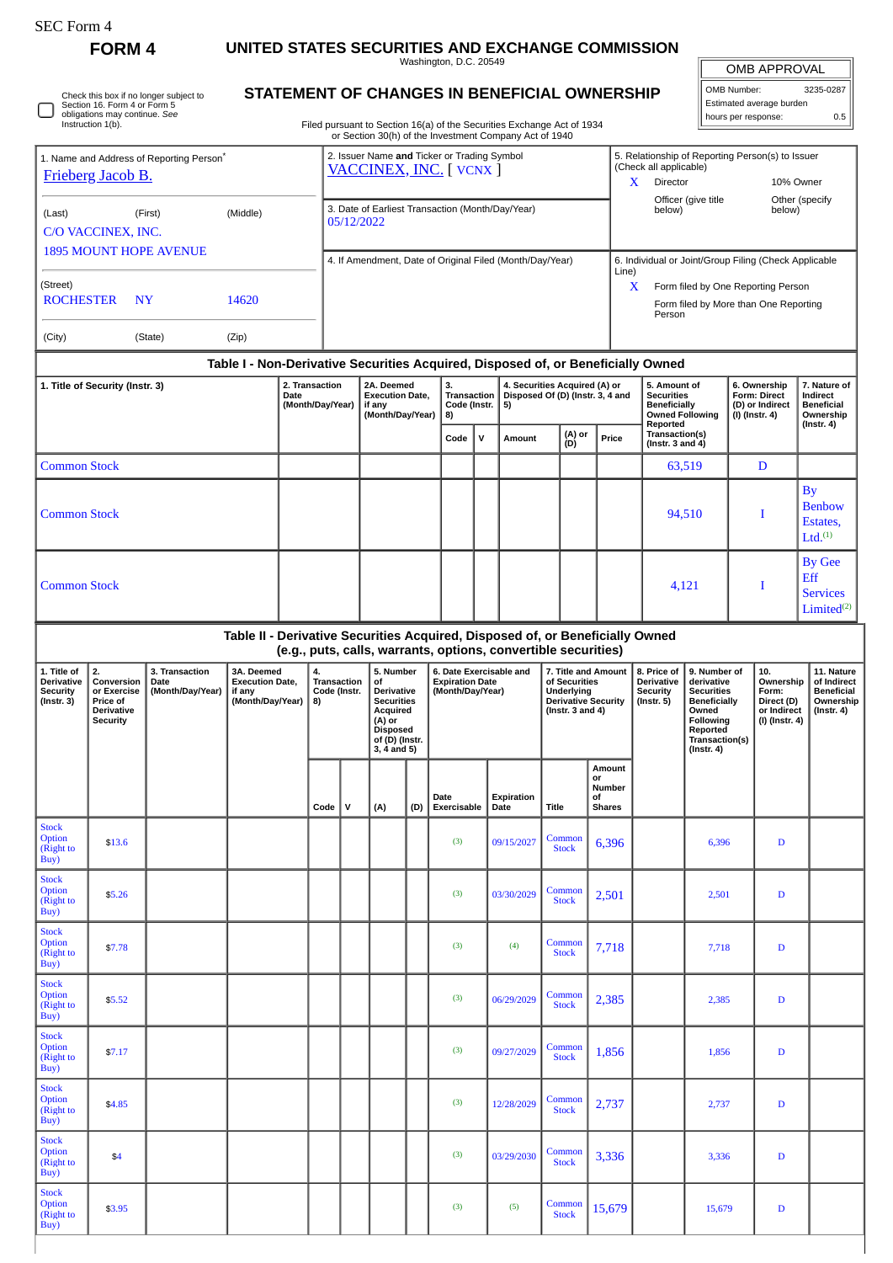Stock Option (Right to Buy)

**FORM 4 UNITED STATES SECURITIES AND EXCHANGE COMMISSION**

Washington, D.C. 20549

OMB APPROVAL

| OMB Number:              | 3235-0287 |  |  |  |  |  |  |
|--------------------------|-----------|--|--|--|--|--|--|
| Estimated average burden |           |  |  |  |  |  |  |
| hours per response:      | 0.5       |  |  |  |  |  |  |

Check this box if no longer subject to Section 16. Form 4 or Form 5 obligations may continue. *See* Instruction 1(b). О

## **STATEMENT OF CHANGES IN BENEFICIAL OWNERSHIP**

Filed pursuant to Section 16(a) of the Securities Exchange Act of 1934 or Section 30(h) of the Investment Company Act of 1940

| 1. Name and Address of Reporting Person <sup>®</sup><br>Frieberg Jacob B. |                                                                       |                                                          |                                                                                  |                                            |                                                                | 2. Issuer Name and Ticker or Trading Symbol<br>VACCINEX, INC. [ VCNX ] |                                                                                                                                  |     |                                                                       |           |                                                                         |                                                                                                           |                                               |                                                                                                     | 5. Relationship of Reporting Person(s) to Issuer<br>(Check all applicable)<br>Director<br>10% Owner<br>X |                                                                                                                                                |                                                                   |                                                                          |                                                                                 |
|---------------------------------------------------------------------------|-----------------------------------------------------------------------|----------------------------------------------------------|----------------------------------------------------------------------------------|--------------------------------------------|----------------------------------------------------------------|------------------------------------------------------------------------|----------------------------------------------------------------------------------------------------------------------------------|-----|-----------------------------------------------------------------------|-----------|-------------------------------------------------------------------------|-----------------------------------------------------------------------------------------------------------|-----------------------------------------------|-----------------------------------------------------------------------------------------------------|----------------------------------------------------------------------------------------------------------|------------------------------------------------------------------------------------------------------------------------------------------------|-------------------------------------------------------------------|--------------------------------------------------------------------------|---------------------------------------------------------------------------------|
| (Last)                                                                    | C/O VACCINEX, INC.                                                    | (First)                                                  | (Middle)                                                                         |                                            | 3. Date of Earliest Transaction (Month/Day/Year)<br>05/12/2022 |                                                                        |                                                                                                                                  |     |                                                                       |           |                                                                         |                                                                                                           |                                               | Officer (give title<br>Other (specify<br>below)<br>below)                                           |                                                                                                          |                                                                                                                                                |                                                                   |                                                                          |                                                                                 |
| <b>1895 MOUNT HOPE AVENUE</b>                                             |                                                                       | 4. If Amendment, Date of Original Filed (Month/Day/Year) |                                                                                  |                                            |                                                                |                                                                        |                                                                                                                                  |     |                                                                       |           | 6. Individual or Joint/Group Filing (Check Applicable                   |                                                                                                           |                                               |                                                                                                     |                                                                                                          |                                                                                                                                                |                                                                   |                                                                          |                                                                                 |
| (Street)<br><b>ROCHESTER</b>                                              | <b>NY</b>                                                             |                                                          | 14620                                                                            |                                            |                                                                |                                                                        |                                                                                                                                  |     |                                                                       |           |                                                                         |                                                                                                           |                                               | Line)<br>X<br>Form filed by One Reporting Person<br>Form filed by More than One Reporting<br>Person |                                                                                                          |                                                                                                                                                |                                                                   |                                                                          |                                                                                 |
| (City)                                                                    |                                                                       | (State)                                                  | (Zip)                                                                            |                                            |                                                                |                                                                        |                                                                                                                                  |     |                                                                       |           |                                                                         |                                                                                                           |                                               |                                                                                                     |                                                                                                          |                                                                                                                                                |                                                                   |                                                                          |                                                                                 |
|                                                                           |                                                                       |                                                          | Table I - Non-Derivative Securities Acquired, Disposed of, or Beneficially Owned |                                            |                                                                |                                                                        |                                                                                                                                  |     |                                                                       |           |                                                                         |                                                                                                           |                                               |                                                                                                     |                                                                                                          |                                                                                                                                                |                                                                   |                                                                          |                                                                                 |
| 1. Title of Security (Instr. 3)                                           |                                                                       |                                                          |                                                                                  | 2. Transaction<br>Date<br>(Month/Day/Year) |                                                                |                                                                        | 2A. Deemed<br><b>Execution Date,</b><br>if any<br>(Month/Day/Year)                                                               |     | 3.<br><b>Transaction</b><br>Code (Instr.<br>8)                        |           | 4. Securities Acquired (A) or<br>Disposed Of (D) (Instr. 3, 4 and<br>5) |                                                                                                           |                                               |                                                                                                     | 5. Amount of<br><b>Securities</b><br><b>Beneficially</b><br><b>Owned Following</b>                       |                                                                                                                                                | 6. Ownership<br>Form: Direct<br>(D) or Indirect<br>(I) (Instr. 4) |                                                                          | 7. Nature of<br>Indirect<br><b>Beneficial</b><br>Ownership                      |
|                                                                           |                                                                       |                                                          |                                                                                  |                                            |                                                                |                                                                        |                                                                                                                                  |     | Code                                                                  | ${\sf v}$ | Amount                                                                  | (A) or<br>(D)                                                                                             |                                               | Reported<br>Transaction(s)<br>Price<br>(Instr. $3$ and $4$ )                                        |                                                                                                          |                                                                                                                                                |                                                                   |                                                                          | $($ Instr. 4 $)$                                                                |
| <b>Common Stock</b>                                                       |                                                                       |                                                          |                                                                                  |                                            |                                                                |                                                                        |                                                                                                                                  |     |                                                                       |           |                                                                         |                                                                                                           |                                               |                                                                                                     | 63,519                                                                                                   |                                                                                                                                                | D                                                                 |                                                                          |                                                                                 |
|                                                                           | <b>Common Stock</b>                                                   |                                                          |                                                                                  |                                            |                                                                |                                                                        |                                                                                                                                  |     |                                                                       |           |                                                                         |                                                                                                           |                                               | 94,510                                                                                              |                                                                                                          |                                                                                                                                                |                                                                   |                                                                          | <b>By</b><br><b>Benbow</b><br>Estates,<br>Ltd. <sup>(1)</sup>                   |
| <b>Common Stock</b>                                                       |                                                                       |                                                          |                                                                                  |                                            |                                                                |                                                                        |                                                                                                                                  |     |                                                                       |           |                                                                         |                                                                                                           |                                               | 4,121                                                                                               |                                                                                                          |                                                                                                                                                |                                                                   | I                                                                        | <b>By Gee</b><br>Eff<br><b>Services</b><br>Limited <sup>(2)</sup>               |
|                                                                           |                                                                       |                                                          | Table II - Derivative Securities Acquired, Disposed of, or Beneficially Owned    |                                            |                                                                |                                                                        |                                                                                                                                  |     | (e.g., puts, calls, warrants, options, convertible securities)        |           |                                                                         |                                                                                                           |                                               |                                                                                                     |                                                                                                          |                                                                                                                                                |                                                                   |                                                                          |                                                                                 |
|                                                                           |                                                                       |                                                          |                                                                                  |                                            | Transaction<br>Code (Instr.                                    |                                                                        |                                                                                                                                  |     |                                                                       |           |                                                                         |                                                                                                           |                                               |                                                                                                     |                                                                                                          |                                                                                                                                                |                                                                   |                                                                          |                                                                                 |
| 1. Title of<br><b>Derivative</b><br><b>Security</b><br>$($ Instr. 3 $)$   | 2.<br>Conversion<br>or Exercise<br>Price of<br>Derivative<br>Security | 3. Transaction<br>Date<br>(Month/Day/Year)               | 3A. Deemed<br><b>Execution Date,</b><br>if any<br>(Month/Day/Year)               |                                            | 4.<br>8)                                                       |                                                                        | 5. Number<br>of<br>Derivative<br><b>Securities</b><br>Acquired<br>(A) or<br><b>Disposed</b><br>of (D) (Instr.<br>$3, 4$ and $5)$ |     | 6. Date Exercisable and<br><b>Expiration Date</b><br>(Month/Day/Year) |           |                                                                         | 7. Title and Amount<br>of Securities<br>Underlying<br><b>Derivative Security</b><br>(Instr. $3$ and $4$ ) |                                               |                                                                                                     | 8. Price of<br><b>Derivative</b><br><b>Security</b><br>(Instr. 5)                                        | 9. Number of<br>derivative<br><b>Securities</b><br><b>Beneficially</b><br>Owned<br>Following<br>Reported<br>Transaction(s)<br>$($ Instr. 4 $)$ |                                                                   | 10.<br>Ownership<br>Form:<br>Direct (D)<br>or Indirect<br>(I) (Instr. 4) | 11. Nature<br>of Indirect<br><b>Beneficial</b><br>Ownership<br>$($ Instr. 4 $)$ |
|                                                                           |                                                                       |                                                          |                                                                                  |                                            | Code                                                           | l v                                                                    | (A)                                                                                                                              | (D) | Date<br>Exercisable                                                   |           | Expiration<br>Date                                                      | <b>Title</b>                                                                                              | Amount<br>or<br>Number<br>οf<br><b>Shares</b> |                                                                                                     |                                                                                                          |                                                                                                                                                |                                                                   |                                                                          |                                                                                 |
| <b>Stock</b><br>Option<br>(Right to<br>Buy)                               | \$13.6                                                                |                                                          |                                                                                  |                                            |                                                                |                                                                        |                                                                                                                                  |     | (3)                                                                   |           | 09/15/2027                                                              | Common<br><b>Stock</b>                                                                                    | 6,396                                         |                                                                                                     |                                                                                                          | 6,396                                                                                                                                          |                                                                   | D                                                                        |                                                                                 |
| <b>Stock</b><br><b>Option</b><br>(Right to<br>Buy)                        | \$5.26                                                                |                                                          |                                                                                  |                                            |                                                                |                                                                        |                                                                                                                                  |     | (3)                                                                   |           | 03/30/2029                                                              | Common<br><b>Stock</b>                                                                                    | 2,501                                         |                                                                                                     |                                                                                                          | 2,501                                                                                                                                          |                                                                   | D                                                                        |                                                                                 |
| <b>Stock</b><br><b>Option</b><br>(Right to<br>Buy)                        | \$7.78                                                                |                                                          |                                                                                  |                                            |                                                                |                                                                        |                                                                                                                                  |     | (3)                                                                   |           | (4)                                                                     | Common<br><b>Stock</b>                                                                                    | 7,718                                         |                                                                                                     |                                                                                                          | 7,718                                                                                                                                          |                                                                   | D                                                                        |                                                                                 |
| <b>Stock</b><br><b>Option</b><br>(Right to<br>Buy)                        | \$5.52                                                                |                                                          |                                                                                  |                                            |                                                                |                                                                        |                                                                                                                                  |     | (3)                                                                   |           | 06/29/2029                                                              | Common<br><b>Stock</b>                                                                                    | 2,385                                         |                                                                                                     |                                                                                                          | 2,385                                                                                                                                          |                                                                   | D                                                                        |                                                                                 |
| <b>Stock</b><br>Option<br>(Right to<br>Buy)                               | \$7.17                                                                |                                                          |                                                                                  |                                            |                                                                |                                                                        |                                                                                                                                  |     | (3)                                                                   |           | 09/27/2029                                                              | Common<br><b>Stock</b>                                                                                    | 1,856                                         |                                                                                                     |                                                                                                          | 1,856                                                                                                                                          |                                                                   | D                                                                        |                                                                                 |
| <b>Stock</b><br><b>Option</b><br>(Right to<br>Buy)                        | \$4.85                                                                |                                                          |                                                                                  |                                            |                                                                |                                                                        |                                                                                                                                  |     | (3)                                                                   |           | 12/28/2029                                                              | Common<br><b>Stock</b>                                                                                    | 2,737                                         |                                                                                                     |                                                                                                          | 2,737                                                                                                                                          |                                                                   | D                                                                        |                                                                                 |

\$3.95 (3) (5) Common

 $\begin{array}{|c|c|c|c|c|c|}\n\hline \text{Common} & 15,679 & & 15,679 & & D\n\end{array}$